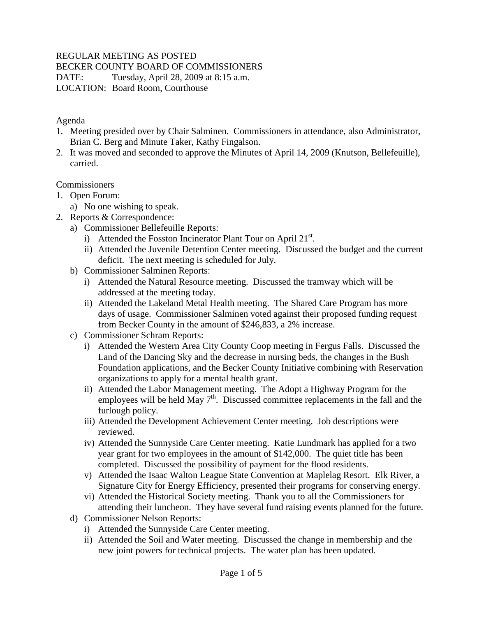### REGULAR MEETING AS POSTED

BECKER COUNTY BOARD OF COMMISSIONERS

DATE: Tuesday, April 28, 2009 at 8:15 a.m.

LOCATION: Board Room, Courthouse

#### Agenda

- 1. Meeting presided over by Chair Salminen. Commissioners in attendance, also Administrator, Brian C. Berg and Minute Taker, Kathy Fingalson.
- 2. It was moved and seconded to approve the Minutes of April 14, 2009 (Knutson, Bellefeuille), carried.

#### **Commissioners**

- 1. Open Forum:
	- a) No one wishing to speak.
- 2. Reports & Correspondence:
	- a) Commissioner Bellefeuille Reports:
		- i) Attended the Fosston Incinerator Plant Tour on April  $21^{st}$ .
		- ii) Attended the Juvenile Detention Center meeting. Discussed the budget and the current deficit. The next meeting is scheduled for July.
	- b) Commissioner Salminen Reports:
		- i) Attended the Natural Resource meeting. Discussed the tramway which will be addressed at the meeting today.
		- ii) Attended the Lakeland Metal Health meeting. The Shared Care Program has more days of usage. Commissioner Salminen voted against their proposed funding request from Becker County in the amount of \$246,833, a 2% increase.
	- c) Commissioner Schram Reports:
		- i) Attended the Western Area City County Coop meeting in Fergus Falls. Discussed the Land of the Dancing Sky and the decrease in nursing beds, the changes in the Bush Foundation applications, and the Becker County Initiative combining with Reservation organizations to apply for a mental health grant.
		- ii) Attended the Labor Management meeting. The Adopt a Highway Program for the employees will be held May  $7<sup>th</sup>$ . Discussed committee replacements in the fall and the furlough policy.
		- iii) Attended the Development Achievement Center meeting. Job descriptions were reviewed.
		- iv) Attended the Sunnyside Care Center meeting. Katie Lundmark has applied for a two year grant for two employees in the amount of \$142,000. The quiet title has been completed. Discussed the possibility of payment for the flood residents.
		- v) Attended the Isaac Walton League State Convention at Maplelag Resort. Elk River, a Signature City for Energy Efficiency, presented their programs for conserving energy.
		- vi) Attended the Historical Society meeting. Thank you to all the Commissioners for attending their luncheon. They have several fund raising events planned for the future.
	- d) Commissioner Nelson Reports:
		- i) Attended the Sunnyside Care Center meeting.
		- ii) Attended the Soil and Water meeting. Discussed the change in membership and the new joint powers for technical projects. The water plan has been updated.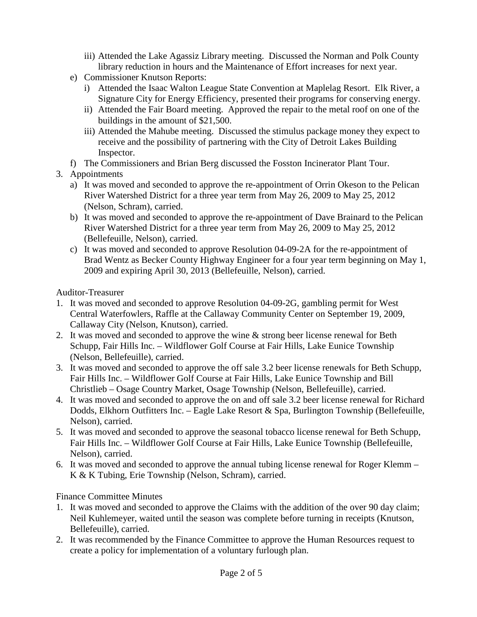- iii) Attended the Lake Agassiz Library meeting. Discussed the Norman and Polk County library reduction in hours and the Maintenance of Effort increases for next year.
- e) Commissioner Knutson Reports:
	- i) Attended the Isaac Walton League State Convention at Maplelag Resort. Elk River, a Signature City for Energy Efficiency, presented their programs for conserving energy.
	- ii) Attended the Fair Board meeting. Approved the repair to the metal roof on one of the buildings in the amount of \$21,500.
	- iii) Attended the Mahube meeting. Discussed the stimulus package money they expect to receive and the possibility of partnering with the City of Detroit Lakes Building Inspector.
- f) The Commissioners and Brian Berg discussed the Fosston Incinerator Plant Tour.
- 3. Appointments
	- a) It was moved and seconded to approve the re-appointment of Orrin Okeson to the Pelican River Watershed District for a three year term from May 26, 2009 to May 25, 2012 (Nelson, Schram), carried.
	- b) It was moved and seconded to approve the re-appointment of Dave Brainard to the Pelican River Watershed District for a three year term from May 26, 2009 to May 25, 2012 (Bellefeuille, Nelson), carried.
	- c) It was moved and seconded to approve Resolution 04-09-2A for the re-appointment of Brad Wentz as Becker County Highway Engineer for a four year term beginning on May 1, 2009 and expiring April 30, 2013 (Bellefeuille, Nelson), carried.

Auditor-Treasurer

- 1. It was moved and seconded to approve Resolution 04-09-2G, gambling permit for West Central Waterfowlers, Raffle at the Callaway Community Center on September 19, 2009, Callaway City (Nelson, Knutson), carried.
- 2. It was moved and seconded to approve the wine & strong beer license renewal for Beth Schupp, Fair Hills Inc. – Wildflower Golf Course at Fair Hills, Lake Eunice Township (Nelson, Bellefeuille), carried.
- 3. It was moved and seconded to approve the off sale 3.2 beer license renewals for Beth Schupp, Fair Hills Inc. – Wildflower Golf Course at Fair Hills, Lake Eunice Township and Bill Christlieb – Osage Country Market, Osage Township (Nelson, Bellefeuille), carried.
- 4. It was moved and seconded to approve the on and off sale 3.2 beer license renewal for Richard Dodds, Elkhorn Outfitters Inc. – Eagle Lake Resort & Spa, Burlington Township (Bellefeuille, Nelson), carried.
- 5. It was moved and seconded to approve the seasonal tobacco license renewal for Beth Schupp, Fair Hills Inc. – Wildflower Golf Course at Fair Hills, Lake Eunice Township (Bellefeuille, Nelson), carried.
- 6. It was moved and seconded to approve the annual tubing license renewal for Roger Klemm K & K Tubing, Erie Township (Nelson, Schram), carried.

Finance Committee Minutes

- 1. It was moved and seconded to approve the Claims with the addition of the over 90 day claim; Neil Kuhlemeyer, waited until the season was complete before turning in receipts (Knutson, Bellefeuille), carried.
- 2. It was recommended by the Finance Committee to approve the Human Resources request to create a policy for implementation of a voluntary furlough plan.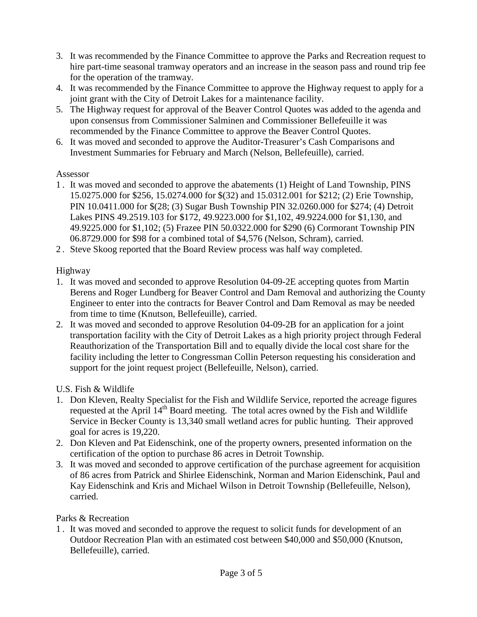- 3. It was recommended by the Finance Committee to approve the Parks and Recreation request to hire part-time seasonal tramway operators and an increase in the season pass and round trip fee for the operation of the tramway.
- 4. It was recommended by the Finance Committee to approve the Highway request to apply for a joint grant with the City of Detroit Lakes for a maintenance facility.
- 5. The Highway request for approval of the Beaver Control Quotes was added to the agenda and upon consensus from Commissioner Salminen and Commissioner Bellefeuille it was recommended by the Finance Committee to approve the Beaver Control Quotes.
- 6. It was moved and seconded to approve the Auditor-Treasurer's Cash Comparisons and Investment Summaries for February and March (Nelson, Bellefeuille), carried.

# Assessor

- 1 . It was moved and seconded to approve the abatements (1) Height of Land Township, PINS 15.0275.000 for \$256, 15.0274.000 for \$(32) and 15.0312.001 for \$212; (2) Erie Township, PIN 10.0411.000 for \$(28; (3) Sugar Bush Township PIN 32.0260.000 for \$274; (4) Detroit Lakes PINS 49.2519.103 for \$172, 49.9223.000 for \$1,102, 49.9224.000 for \$1,130, and 49.9225.000 for \$1,102; (5) Frazee PIN 50.0322.000 for \$290 (6) Cormorant Township PIN 06.8729.000 for \$98 for a combined total of \$4,576 (Nelson, Schram), carried.
- 2 . Steve Skoog reported that the Board Review process was half way completed.

# Highway

- 1. It was moved and seconded to approve Resolution 04-09-2E accepting quotes from Martin Berens and Roger Lundberg for Beaver Control and Dam Removal and authorizing the County Engineer to enter into the contracts for Beaver Control and Dam Removal as may be needed from time to time (Knutson, Bellefeuille), carried.
- 2. It was moved and seconded to approve Resolution 04-09-2B for an application for a joint transportation facility with the City of Detroit Lakes as a high priority project through Federal Reauthorization of the Transportation Bill and to equally divide the local cost share for the facility including the letter to Congressman Collin Peterson requesting his consideration and support for the joint request project (Bellefeuille, Nelson), carried.

# U.S. Fish & Wildlife

- 1. Don Kleven, Realty Specialist for the Fish and Wildlife Service, reported the acreage figures requested at the April 14<sup>th</sup> Board meeting. The total acres owned by the Fish and Wildlife Service in Becker County is 13,340 small wetland acres for public hunting. Their approved goal for acres is 19,220.
- 2. Don Kleven and Pat Eidenschink, one of the property owners, presented information on the certification of the option to purchase 86 acres in Detroit Township.
- 3. It was moved and seconded to approve certification of the purchase agreement for acquisition of 86 acres from Patrick and Shirlee Eidenschink, Norman and Marion Eidenschink, Paul and Kay Eidenschink and Kris and Michael Wilson in Detroit Township (Bellefeuille, Nelson), carried.

#### Parks & Recreation

1 . It was moved and seconded to approve the request to solicit funds for development of an Outdoor Recreation Plan with an estimated cost between \$40,000 and \$50,000 (Knutson, Bellefeuille), carried.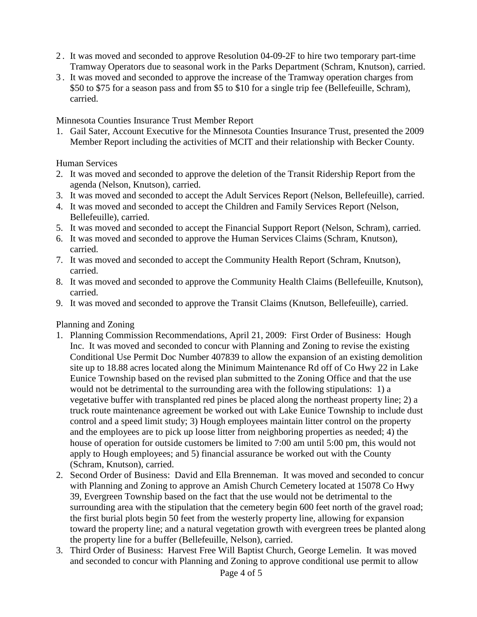- 2 . It was moved and seconded to approve Resolution 04-09-2F to hire two temporary part-time Tramway Operators due to seasonal work in the Parks Department (Schram, Knutson), carried.
- 3 . It was moved and seconded to approve the increase of the Tramway operation charges from \$50 to \$75 for a season pass and from \$5 to \$10 for a single trip fee (Bellefeuille, Schram), carried.

Minnesota Counties Insurance Trust Member Report

1. Gail Sater, Account Executive for the Minnesota Counties Insurance Trust, presented the 2009 Member Report including the activities of MCIT and their relationship with Becker County.

Human Services

- 2. It was moved and seconded to approve the deletion of the Transit Ridership Report from the agenda (Nelson, Knutson), carried.
- 3. It was moved and seconded to accept the Adult Services Report (Nelson, Bellefeuille), carried.
- 4. It was moved and seconded to accept the Children and Family Services Report (Nelson, Bellefeuille), carried.
- 5. It was moved and seconded to accept the Financial Support Report (Nelson, Schram), carried.
- 6. It was moved and seconded to approve the Human Services Claims (Schram, Knutson), carried.
- 7. It was moved and seconded to accept the Community Health Report (Schram, Knutson), carried.
- 8. It was moved and seconded to approve the Community Health Claims (Bellefeuille, Knutson), carried.
- 9. It was moved and seconded to approve the Transit Claims (Knutson, Bellefeuille), carried.

Planning and Zoning

- 1. Planning Commission Recommendations, April 21, 2009: First Order of Business: Hough Inc. It was moved and seconded to concur with Planning and Zoning to revise the existing Conditional Use Permit Doc Number 407839 to allow the expansion of an existing demolition site up to 18.88 acres located along the Minimum Maintenance Rd off of Co Hwy 22 in Lake Eunice Township based on the revised plan submitted to the Zoning Office and that the use would not be detrimental to the surrounding area with the following stipulations: 1) a vegetative buffer with transplanted red pines be placed along the northeast property line; 2) a truck route maintenance agreement be worked out with Lake Eunice Township to include dust control and a speed limit study; 3) Hough employees maintain litter control on the property and the employees are to pick up loose litter from neighboring properties as needed; 4) the house of operation for outside customers be limited to 7:00 am until 5:00 pm, this would not apply to Hough employees; and 5) financial assurance be worked out with the County (Schram, Knutson), carried.
- 2. Second Order of Business: David and Ella Brenneman. It was moved and seconded to concur with Planning and Zoning to approve an Amish Church Cemetery located at 15078 Co Hwy 39, Evergreen Township based on the fact that the use would not be detrimental to the surrounding area with the stipulation that the cemetery begin 600 feet north of the gravel road; the first burial plots begin 50 feet from the westerly property line, allowing for expansion toward the property line; and a natural vegetation growth with evergreen trees be planted along the property line for a buffer (Bellefeuille, Nelson), carried.
- 3. Third Order of Business: Harvest Free Will Baptist Church, George Lemelin. It was moved and seconded to concur with Planning and Zoning to approve conditional use permit to allow